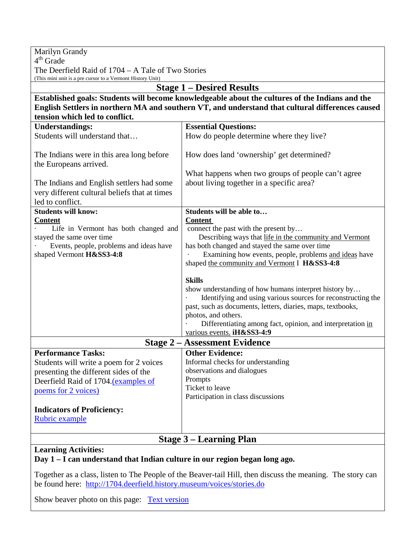| Marilyn Grandy                                                                                                   |                                                                                                                       |
|------------------------------------------------------------------------------------------------------------------|-----------------------------------------------------------------------------------------------------------------------|
| $4th$ Grade                                                                                                      |                                                                                                                       |
| The Deerfield Raid of 1704 – A Tale of Two Stories<br>(This mini unit is a pre cursor to a Vermont History Unit) |                                                                                                                       |
| <b>Stage 1 - Desired Results</b>                                                                                 |                                                                                                                       |
| Established goals: Students will become knowledgeable about the cultures of the Indians and the                  |                                                                                                                       |
| English Settlers in northern MA and southern VT, and understand that cultural differences caused                 |                                                                                                                       |
| tension which led to conflict.                                                                                   |                                                                                                                       |
| <b>Understandings:</b>                                                                                           | <b>Essential Questions:</b>                                                                                           |
| Students will understand that                                                                                    | How do people determine where they live?                                                                              |
|                                                                                                                  |                                                                                                                       |
| The Indians were in this area long before                                                                        | How does land 'ownership' get determined?                                                                             |
| the Europeans arrived.                                                                                           |                                                                                                                       |
|                                                                                                                  | What happens when two groups of people can't agree                                                                    |
| The Indians and English settlers had some                                                                        | about living together in a specific area?                                                                             |
| very different cultural beliefs that at times                                                                    |                                                                                                                       |
| led to conflict.                                                                                                 |                                                                                                                       |
| <b>Students will know:</b>                                                                                       | Students will be able to                                                                                              |
| <b>Content</b><br>Life in Vermont has both changed and                                                           | <b>Content</b><br>connect the past with the present by                                                                |
| stayed the same over time                                                                                        | Describing ways that life in the community and Vermont                                                                |
| Events, people, problems and ideas have                                                                          | has both changed and stayed the same over time                                                                        |
| shaped Vermont H&SS3-4:8                                                                                         | Examining how events, people, problems and ideas have                                                                 |
|                                                                                                                  | shaped the community and Vermont I H&SS3-4:8                                                                          |
|                                                                                                                  |                                                                                                                       |
|                                                                                                                  | <b>Skills</b>                                                                                                         |
|                                                                                                                  | show understanding of how humans interpret history by<br>Identifying and using various sources for reconstructing the |
|                                                                                                                  | past, such as documents, letters, diaries, maps, textbooks,                                                           |
|                                                                                                                  | photos, and others.                                                                                                   |
|                                                                                                                  | Differentiating among fact, opinion, and interpretation in                                                            |
|                                                                                                                  | various events. iH&SS3-4:9                                                                                            |
| <b>Stage 2 – Assessment Evidence</b>                                                                             |                                                                                                                       |
| <b>Performance Tasks:</b>                                                                                        | <b>Other Evidence:</b>                                                                                                |
| Students will write a poem for 2 voices                                                                          | Informal checks for understanding                                                                                     |
| presenting the different sides of the                                                                            | observations and dialogues                                                                                            |
| Deerfield Raid of 1704.(examples of                                                                              | Prompts                                                                                                               |
| poems for 2 voices)                                                                                              | Ticket to leave                                                                                                       |
|                                                                                                                  | Participation in class discussions                                                                                    |
| <b>Indicators of Proficiency:</b>                                                                                |                                                                                                                       |
| Rubric example                                                                                                   |                                                                                                                       |
|                                                                                                                  |                                                                                                                       |
| <b>Stage 3 – Learning Plan</b>                                                                                   |                                                                                                                       |
| <b>Learning Activities:</b>                                                                                      |                                                                                                                       |
| Day 1 – I can understand that Indian culture in our region began long ago.                                       |                                                                                                                       |
| Together as a class, listen to The People of the Beaver-tail Hill, then discuss the meaning. The story can       |                                                                                                                       |

Together as a class, listen to The People of the Beaver-tail Hill, then discuss the meaning. The story can be found here: <http://1704.deerfield.history.museum/voices/stories.do>

Show beaver photo on this page: Text version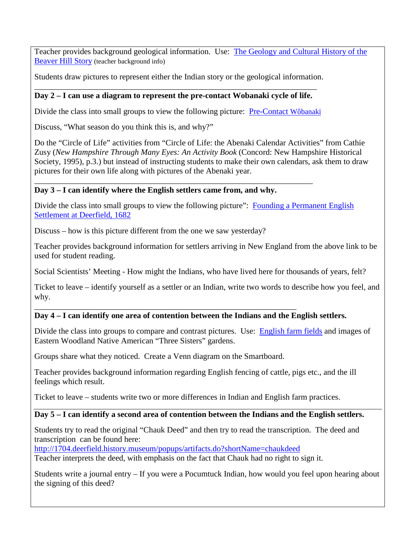Teacher provides background geological information. Use: [The Geology and Cultural History of](http://1704.deerfield.history.museum/voices/transcripts/wob_creation_essay.html) the [Beaver Hill Story](http://1704.deerfield.history.museum/voices/transcripts/wob_creation_essay.html) (teacher background info)

Students draw pictures to represent either the Indian story or the geological information.

### \_\_\_\_\_\_\_\_\_\_\_\_\_\_\_\_\_\_\_\_\_\_\_\_\_\_\_\_\_\_\_\_\_\_\_\_\_\_\_\_\_\_\_\_\_\_\_\_\_\_\_\_\_\_\_\_\_\_\_\_\_\_\_\_\_\_\_\_\_ **Day 2 – I can use a diagram to represent the pre-contact Wobanaki cycle of life.**

Divide the class into small groups to view the following picture: [Pre-Contact Wôbanaki](http://1704.deerfield.history.museum/scenes/nsscenes/lifeways.do?title=Wobanakiak) 

Discuss, "What season do you think this is, and why?"

Do the "Circle of Life" activities from "Circle of Life: the Abenaki Calendar Activities" from Cathie Zusy (*New Hampshire Through Many Eyes: An Activity Book* (Concord: New Hampshire Historical Society, 1995), p.3.) but instead of instructing students to make their own calendars, ask them to draw pictures for their own life along with pictures of the Abenaki year.

### \_\_\_\_\_\_\_\_\_\_\_\_\_\_\_\_\_\_\_\_\_\_\_\_\_\_\_\_\_\_\_\_\_\_\_\_\_\_\_\_\_\_\_\_\_\_\_\_\_\_\_\_\_\_\_\_\_\_\_\_\_\_\_\_\_\_\_\_ **Day 3 – I can identify where the English settlers came from, and why.**

Divide the class into small groups to view the following picture": Founding a Permanent English [Settlement at Deerfield, 1682](http://1704.deerfield.history.museum/scenes/nsscenes/founding.do?title=foundDeerfield)

Discuss – how is this picture different from the one we saw yesterday?

Teacher provides background information for settlers arriving in New England from the above link to be used for student reading.

Social Scientists' Meeting - How might the Indians, who have lived here for thousands of years, felt?

Ticket to leave – identify yourself as a settler or an Indian, write two words to describe how you feel, and why.

#### \_\_\_\_\_\_\_\_\_\_\_\_\_\_\_\_\_\_\_\_\_\_\_\_\_\_\_\_\_\_\_\_\_\_\_\_\_\_\_\_\_\_\_\_\_\_\_\_\_\_\_\_\_\_\_\_\_\_\_\_\_\_\_\_ **Day 4 – I can identify one area of contention between the Indians and the English settlers.**

Divide the class into groups to compare and contrast pictures. Use: [English farm fields](http://1704.deerfield.history.museum/groups/lifeways.do?title=English) and images of Eastern Woodland Native American "Three Sisters" gardens.

Groups share what they noticed. Create a Venn diagram on the Smartboard.

Teacher provides background information regarding English fencing of cattle, pigs etc., and the ill feelings which result.

Ticket to leave – students write two or more differences in Indian and English farm practices.

# **Day 5 – I can identify a second area of contention between the Indians and the English settlers.**

Students try to read the original "Chauk Deed" and then try to read the transcription. The deed and transcription can be found here:

<http://1704.deerfield.history.museum/popups/artifacts.do?shortName=chaukdeed>

Teacher interprets the deed, with emphasis on the fact that Chauk had no right to sign it.

Students write a journal entry – If you were a Pocumtuck Indian, how would you feel upon hearing about the signing of this deed?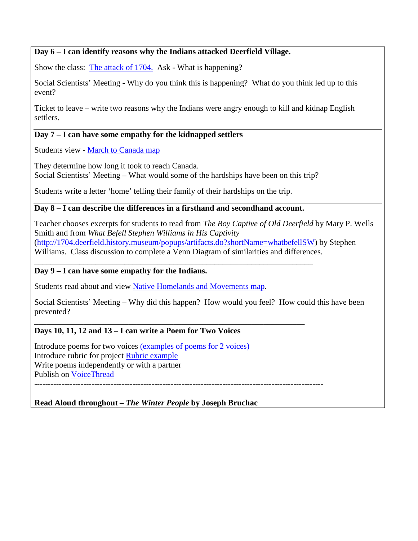### **Day 6 – I can identify reasons why the Indians attacked Deerfield Village.**

Show the class: [The attack of 1704.](http://1704.deerfield.history.museum/scenes/scene.do?title=Attack) Ask - What is happening?

Social Scientists' Meeting - Why do you think this is happening? What do you think led up to this event?

Ticket to leave – write two reasons why the Indians were angry enough to kill and kidnap English settlers.

### **Day 7 – I can have some empathy for the kidnapped settlers**

Students view - [March to Canada map](http://1704.deerfield.history.museum/maps/march.html)

They determine how long it took to reach Canada.

Social Scientists' Meeting – What would some of the hardships have been on this trip?

Students write a letter 'home' telling their family of their hardships on the trip.

# **Day 8 – I can describe the differences in a firsthand and secondhand account.**

Teacher chooses excerpts for students to read from *The Boy Captive of Old Deerfield* by Mary P. Wells Smith and from *What Befell Stephen Williams in His Captivity* [\(http://1704.deerfield.history.museum/popups/artifacts.do?shortName=whatbefellSW\)](http://1704.deerfield.history.museum/popups/artifacts.do?shortName=whatbefellSW) by Stephen

Williams. Class discussion to complete a Venn Diagram of similarities and differences.

#### \_\_\_\_\_\_\_\_\_\_\_\_\_\_\_\_\_\_\_\_\_\_\_\_\_\_\_\_\_\_\_\_\_\_\_\_\_\_\_\_\_\_\_\_\_\_\_\_\_\_\_\_\_\_\_\_\_\_\_\_\_\_\_\_\_\_\_\_ **Day 9 – I can have some empathy for the Indians.**

Students read about and view [Native Homelands and Movements map.](http://1704.deerfield.history.museum/maps/movements.html)

Social Scientists' Meeting – Why did this happen? How would you feel? How could this have been prevented?

# **Days 10, 11, 12 and 13 – I can write a Poem for Two Voices**

Introduce poems for two voices (examples [of poems for 2 voices\)](http://www.writingfix.com/PDFs/Comparison_Contrast/Poem_Two_Voices.pdf) Introduce rubric for project [Rubric example](http://www.sarasuemartin.com/uploads/1/1/3/7/11370670/a_poem_in_two_voices_defined_tutorial_final.pdf) Write poems independently or with a partner Publish on [VoiceThread](http://voicethread.com/)

**----------------------------------------------------------------------------------------------------------**

\_\_\_\_\_\_\_\_\_\_\_\_\_\_\_\_\_\_\_\_\_\_\_\_\_\_\_\_\_\_\_\_\_\_\_\_\_\_\_\_\_\_\_\_\_\_\_\_\_\_\_\_\_\_\_\_\_\_\_\_\_\_\_\_\_\_

# **Read Aloud throughout** *– The Winter People* **by Joseph Bruchac**